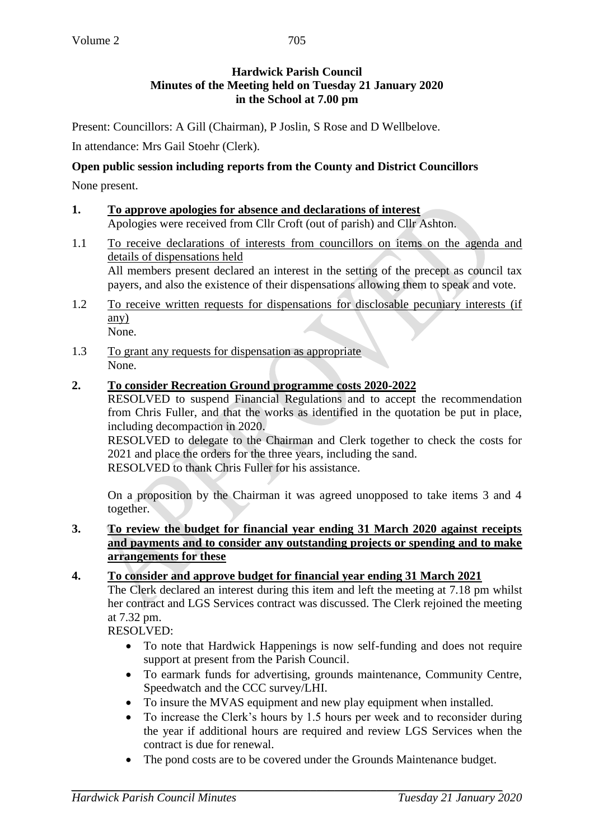# **Hardwick Parish Council Minutes of the Meeting held on Tuesday 21 January 2020 in the School at 7.00 pm**

Present: Councillors: A Gill (Chairman), P Joslin, S Rose and D Wellbelove.

In attendance: Mrs Gail Stoehr (Clerk).

### **Open public session including reports from the County and District Councillors**

None present.

- **1. To approve apologies for absence and declarations of interest** Apologies were received from Cllr Croft (out of parish) and Cllr Ashton.
- 1.1 To receive declarations of interests from councillors on items on the agenda and details of dispensations held All members present declared an interest in the setting of the precept as council tax payers, and also the existence of their dispensations allowing them to speak and vote.
- 1.2 To receive written requests for dispensations for disclosable pecuniary interests (if any) None.
- 1.3 To grant any requests for dispensation as appropriate None.

#### **2. To consider Recreation Ground programme costs 2020-2022**

RESOLVED to suspend Financial Regulations and to accept the recommendation from Chris Fuller, and that the works as identified in the quotation be put in place, including decompaction in 2020.

RESOLVED to delegate to the Chairman and Clerk together to check the costs for 2021 and place the orders for the three years, including the sand. RESOLVED to thank Chris Fuller for his assistance.

On a proposition by the Chairman it was agreed unopposed to take items 3 and 4 together.

**3. To review the budget for financial year ending 31 March 2020 against receipts and payments and to consider any outstanding projects or spending and to make arrangements for these**

#### **4. To consider and approve budget for financial year ending 31 March 2021**

The Clerk declared an interest during this item and left the meeting at 7.18 pm whilst her contract and LGS Services contract was discussed. The Clerk rejoined the meeting at 7.32 pm.

RESOLVED:

- To note that Hardwick Happenings is now self-funding and does not require support at present from the Parish Council.
- To earmark funds for advertising, grounds maintenance, Community Centre, Speedwatch and the CCC survey/LHI.
- To insure the MVAS equipment and new play equipment when installed.
- To increase the Clerk's hours by 1.5 hours per week and to reconsider during the year if additional hours are required and review LGS Services when the contract is due for renewal.
- The pond costs are to be covered under the Grounds Maintenance budget.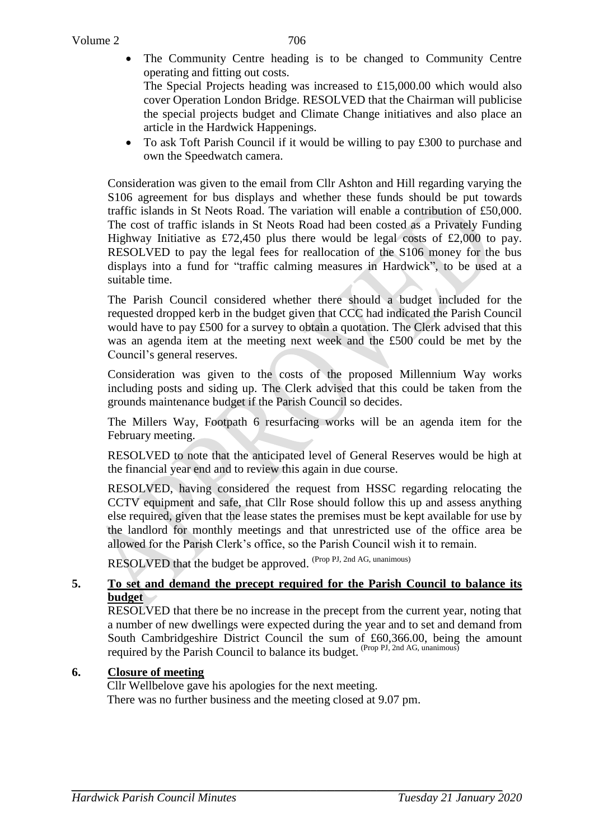The Community Centre heading is to be changed to Community Centre operating and fitting out costs.

The Special Projects heading was increased to £15,000.00 which would also cover Operation London Bridge. RESOLVED that the Chairman will publicise the special projects budget and Climate Change initiatives and also place an article in the Hardwick Happenings.

 To ask Toft Parish Council if it would be willing to pay £300 to purchase and own the Speedwatch camera.

Consideration was given to the email from Cllr Ashton and Hill regarding varying the S106 agreement for bus displays and whether these funds should be put towards traffic islands in St Neots Road. The variation will enable a contribution of £50,000. The cost of traffic islands in St Neots Road had been costed as a Privately Funding Highway Initiative as £72,450 plus there would be legal costs of £2,000 to pay. RESOLVED to pay the legal fees for reallocation of the S106 money for the bus displays into a fund for "traffic calming measures in Hardwick", to be used at a suitable time.

The Parish Council considered whether there should a budget included for the requested dropped kerb in the budget given that CCC had indicated the Parish Council would have to pay £500 for a survey to obtain a quotation. The Clerk advised that this was an agenda item at the meeting next week and the £500 could be met by the Council's general reserves.

Consideration was given to the costs of the proposed Millennium Way works including posts and siding up. The Clerk advised that this could be taken from the grounds maintenance budget if the Parish Council so decides.

The Millers Way, Footpath 6 resurfacing works will be an agenda item for the February meeting.

RESOLVED to note that the anticipated level of General Reserves would be high at the financial year end and to review this again in due course.

RESOLVED, having considered the request from HSSC regarding relocating the CCTV equipment and safe, that Cllr Rose should follow this up and assess anything else required, given that the lease states the premises must be kept available for use by the landlord for monthly meetings and that unrestricted use of the office area be allowed for the Parish Clerk's office, so the Parish Council wish it to remain.

RESOLVED that the budget be approved. (Prop PJ, 2nd AG, unanimous)

### **5. To set and demand the precept required for the Parish Council to balance its budget**

RESOLVED that there be no increase in the precept from the current year, noting that a number of new dwellings were expected during the year and to set and demand from South Cambridgeshire District Council the sum of £60,366.00, being the amount required by the Parish Council to balance its budget. (Prop PJ, 2nd AG, unanimous)

# **6. Closure of meeting**

Cllr Wellbelove gave his apologies for the next meeting. There was no further business and the meeting closed at 9.07 pm.